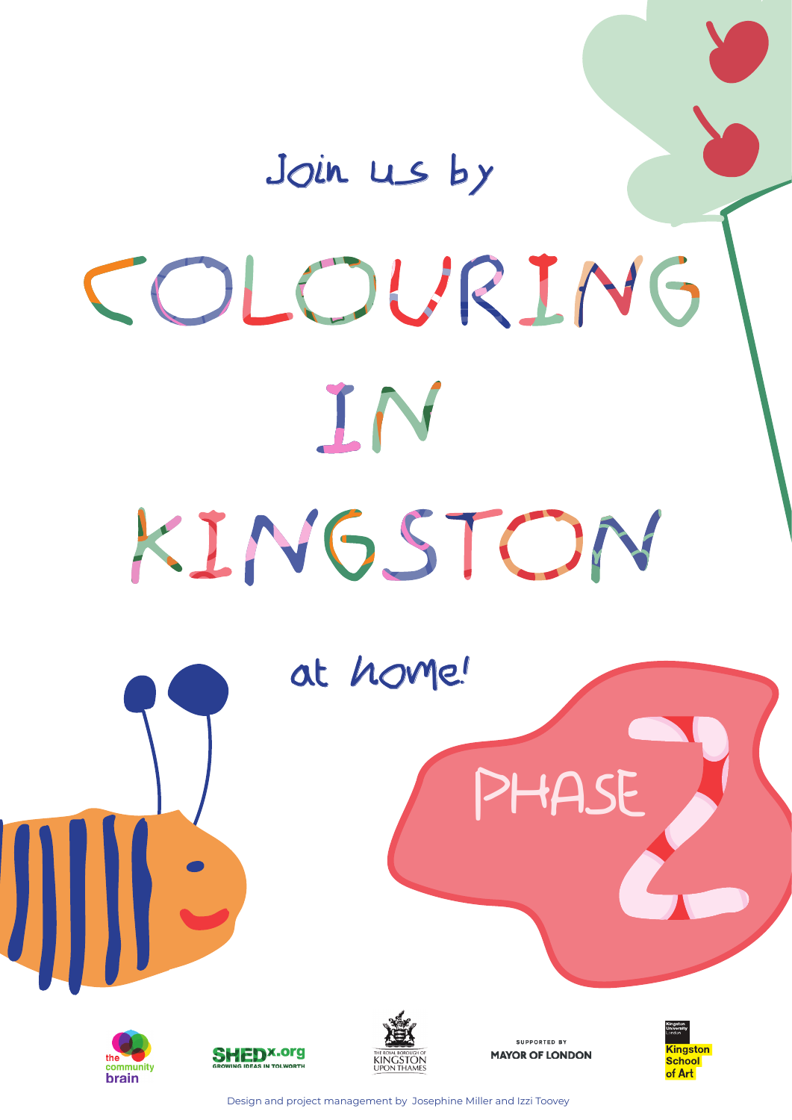# Join us by COLOURING IN KINGSTON









**SUPPORTED BY MAYOR OF LONDON** 



Design and project management by Josephine Miller and Izzi Toovey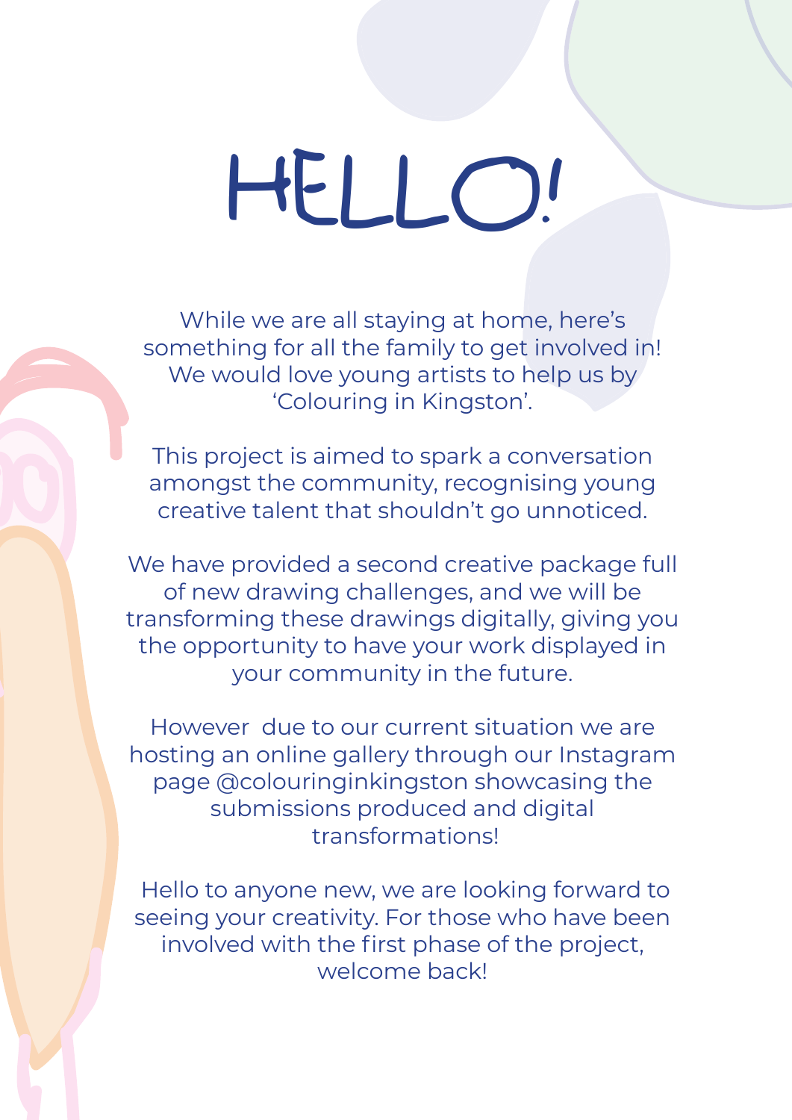## HELLO!

While we are all staying at home, here's something for all the family to get involved in! We would love young artists to help us by 'Colouring in Kingston'.

This project is aimed to spark a conversation amongst the community, recognising young creative talent that shouldn't go unnoticed.

We have provided a second creative package full of new drawing challenges, and we will be transforming these drawings digitally, giving you the opportunity to have your work displayed in your community in the future.

However due to our current situation we are hosting an online gallery through our Instagram page @colouringinkingston showcasing the submissions produced and digital transformations!

 Hello to anyone new, we are looking forward to seeing your creativity. For those who have been involved with the first phase of the project, welcome back!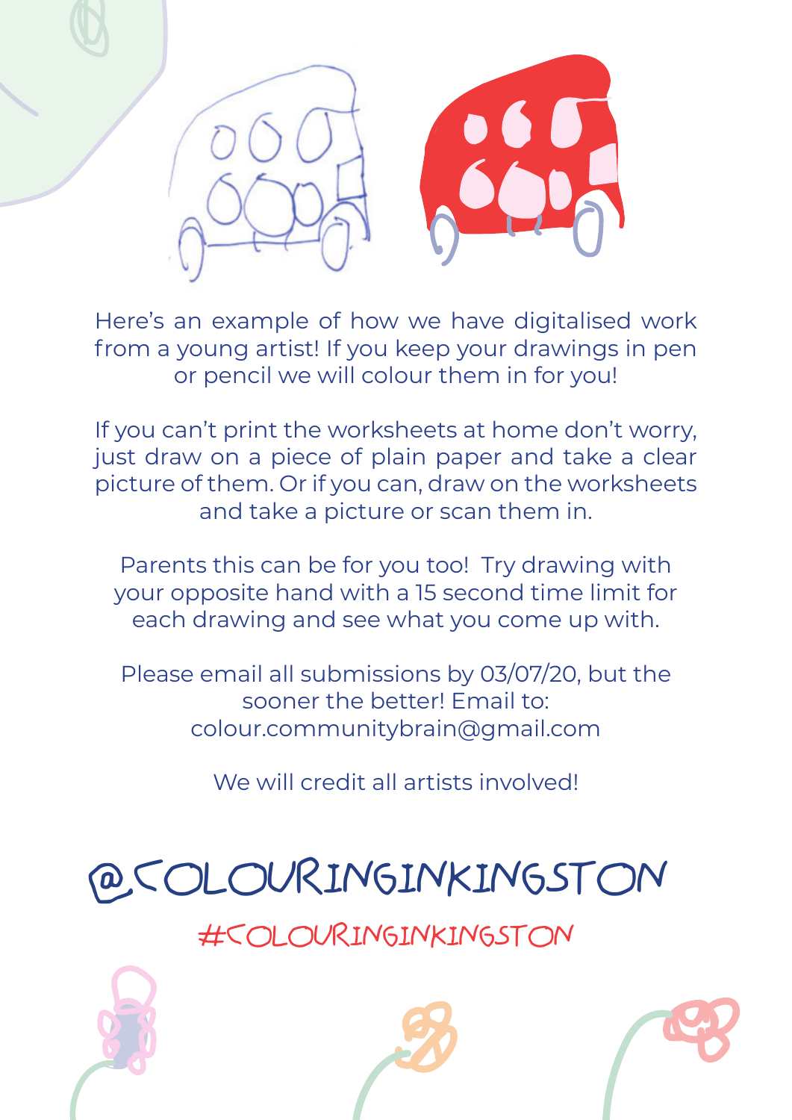

Here's an example of how we have digitalised work from a young artist! If you keep your drawings in pen or pencil we will colour them in for you!

If you can't print the worksheets at home don't worry, just draw on a piece of plain paper and take a clear picture of them. Or if you can, draw on the worksheets and take a picture or scan them in.

Parents this can be for you too! Try drawing with your opposite hand with a 15 second time limit for each drawing and see what you come up with.

Please email all submissions by 03/07/20, but the sooner the better! Email to: colour.communitybrain@gmail.com

We will credit all artists involved!



#COLOURINGINKINGSTON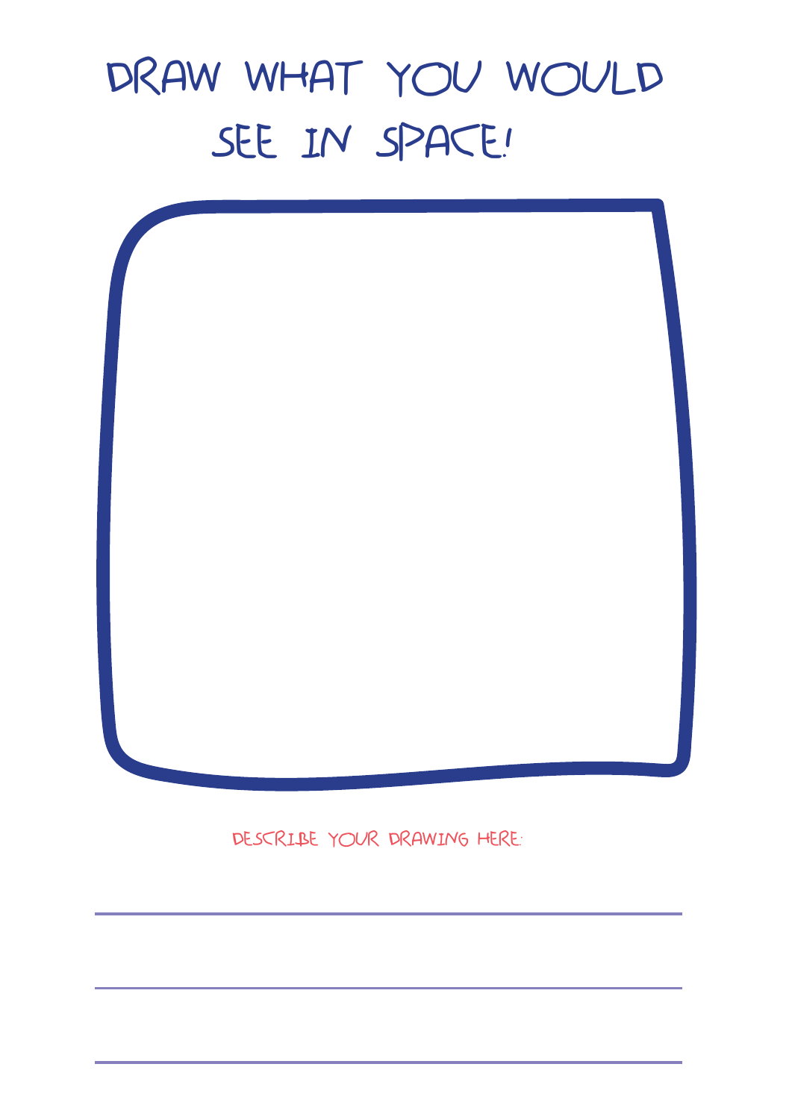#### DRAW WHAT YOU WOULD SEE IN SPACE!



DESCRIBE YOUR DRAWING HERE: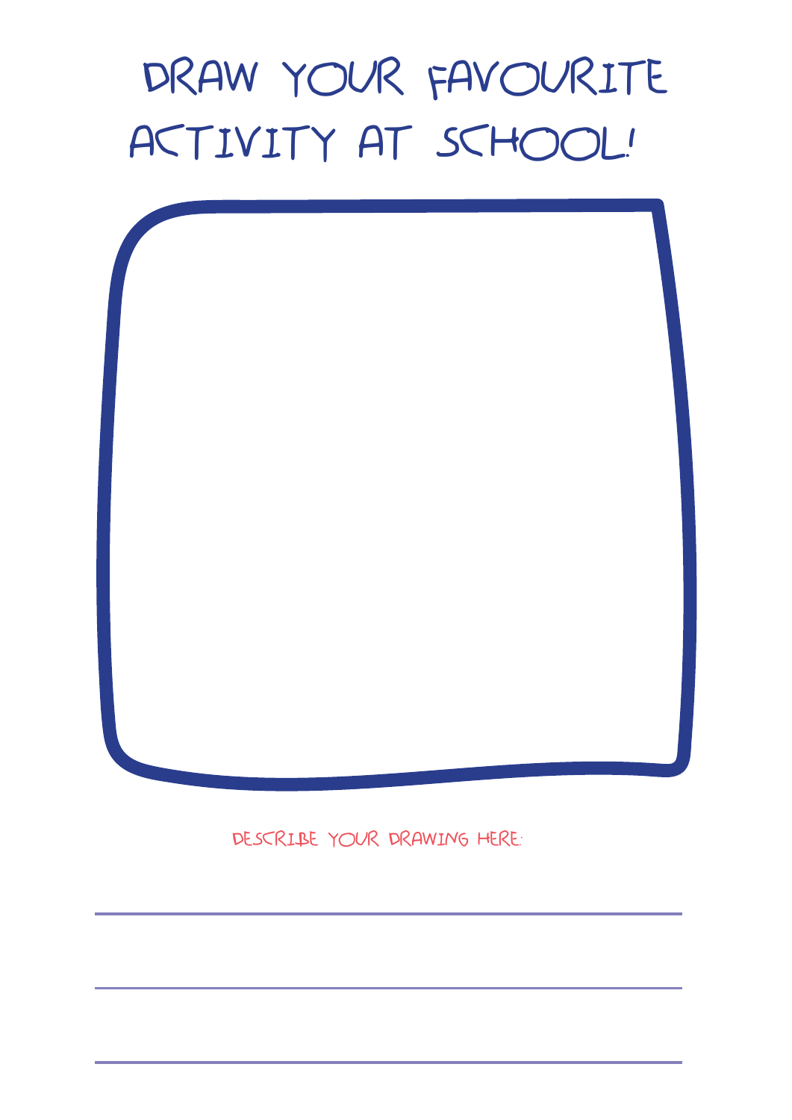### DRAW YOUR FAVOURITE ACTIVITY AT SCHOOL!



DESCRIBE YOUR DRAWING HERE: